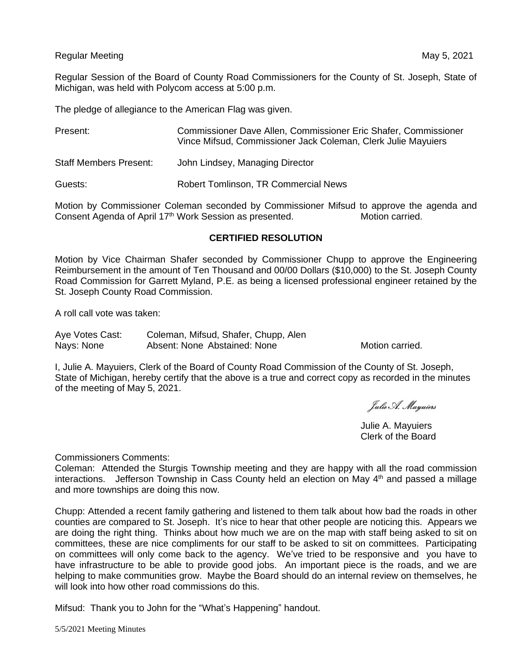## Regular Meeting May 5, 2021

Regular Session of the Board of County Road Commissioners for the County of St. Joseph, State of Michigan, was held with Polycom access at 5:00 p.m.

The pledge of allegiance to the American Flag was given.

| Present:                      | Commissioner Dave Allen, Commissioner Eric Shafer, Commissioner<br>Vince Mifsud, Commissioner Jack Coleman, Clerk Julie Mayuiers |
|-------------------------------|----------------------------------------------------------------------------------------------------------------------------------|
| <b>Staff Members Present:</b> | John Lindsey, Managing Director                                                                                                  |
| Guests:                       | <b>Robert Tomlinson, TR Commercial News</b>                                                                                      |

Motion by Commissioner Coleman seconded by Commissioner Mifsud to approve the agenda and Consent Agenda of April 17<sup>th</sup> Work Session as presented. Motion carried.

## **CERTIFIED RESOLUTION**

Motion by Vice Chairman Shafer seconded by Commissioner Chupp to approve the Engineering Reimbursement in the amount of Ten Thousand and 00/00 Dollars (\$10,000) to the St. Joseph County Road Commission for Garrett Myland, P.E. as being a licensed professional engineer retained by the St. Joseph County Road Commission.

A roll call vote was taken:

Aye Votes Cast: Coleman, Mifsud, Shafer, Chupp, Alen Nays: None **Absent: None Abstained: None** Motion carried.

I, Julie A. Mayuiers, Clerk of the Board of County Road Commission of the County of St. Joseph, State of Michigan, hereby certify that the above is a true and correct copy as recorded in the minutes of the meeting of May 5, 2021.

Julie A. Mayuiers

Julie A. Mayuiers Clerk of the Board

Commissioners Comments:

Coleman: Attended the Sturgis Township meeting and they are happy with all the road commission interactions. Jefferson Township in Cass County held an election on May  $4<sup>th</sup>$  and passed a millage and more townships are doing this now.

Chupp: Attended a recent family gathering and listened to them talk about how bad the roads in other counties are compared to St. Joseph. It's nice to hear that other people are noticing this. Appears we are doing the right thing. Thinks about how much we are on the map with staff being asked to sit on committees, these are nice compliments for our staff to be asked to sit on committees. Participating on committees will only come back to the agency. We've tried to be responsive and you have to have infrastructure to be able to provide good jobs. An important piece is the roads, and we are helping to make communities grow. Maybe the Board should do an internal review on themselves, he will look into how other road commissions do this.

Mifsud: Thank you to John for the "What's Happening" handout.